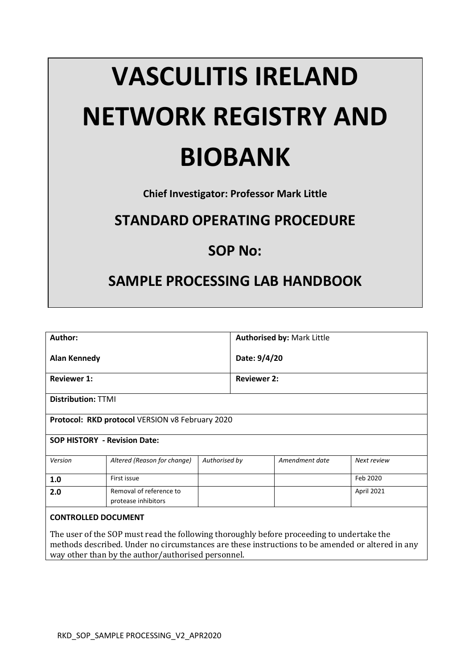# **VASCULITIS IRELAND NETWORK REGISTRY AND BIOBANK**

**Chief Investigator: Professor Mark Little**

# **STANDARD OPERATING PROCEDURE**

# **SOP No:**

# **SAMPLE PROCESSING LAB HANDBOOK**

| Author:                                                                                                                                                                                                                                             |                                                | <b>Authorised by: Mark Little</b> |                    |                |             |  |
|-----------------------------------------------------------------------------------------------------------------------------------------------------------------------------------------------------------------------------------------------------|------------------------------------------------|-----------------------------------|--------------------|----------------|-------------|--|
| <b>Alan Kennedy</b>                                                                                                                                                                                                                                 |                                                | Date: 9/4/20                      |                    |                |             |  |
| <b>Reviewer 1:</b>                                                                                                                                                                                                                                  |                                                |                                   | <b>Reviewer 2:</b> |                |             |  |
| <b>Distribution: TTMI</b>                                                                                                                                                                                                                           |                                                |                                   |                    |                |             |  |
| Protocol: RKD protocol VERSION v8 February 2020                                                                                                                                                                                                     |                                                |                                   |                    |                |             |  |
| <b>SOP HISTORY - Revision Date:</b>                                                                                                                                                                                                                 |                                                |                                   |                    |                |             |  |
| Version                                                                                                                                                                                                                                             | Altered (Reason for change)                    | Authorised by                     |                    | Amendment date | Next review |  |
| 1.0                                                                                                                                                                                                                                                 | First issue                                    |                                   |                    |                | Feb 2020    |  |
| 2.0                                                                                                                                                                                                                                                 | Removal of reference to<br>protease inhibitors |                                   |                    |                | April 2021  |  |
| <b>CONTROLLED DOCUMENT</b>                                                                                                                                                                                                                          |                                                |                                   |                    |                |             |  |
| The user of the SOP must read the following thoroughly before proceeding to undertake the<br>methods described. Under no circumstances are these instructions to be amended or altered in any<br>way other than by the author/authorised personnel. |                                                |                                   |                    |                |             |  |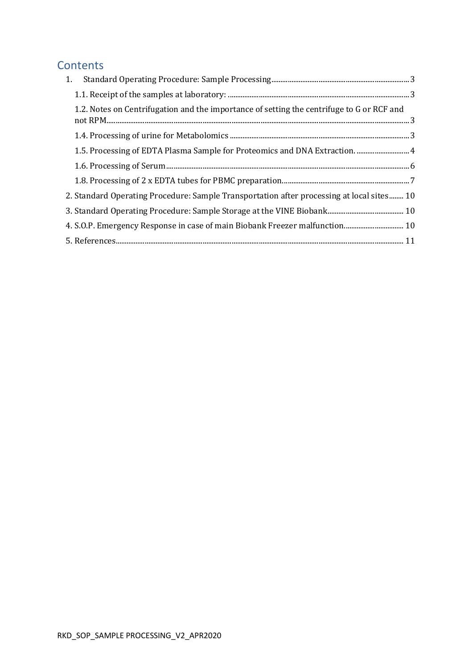# **Contents**

| 1.2. Notes on Centrifugation and the importance of setting the centrifuge to G or RCF and |  |
|-------------------------------------------------------------------------------------------|--|
|                                                                                           |  |
| 1.5. Processing of EDTA Plasma Sample for Proteomics and DNA Extraction 4                 |  |
|                                                                                           |  |
|                                                                                           |  |
| 2. Standard Operating Procedure: Sample Transportation after processing at local sites 10 |  |
|                                                                                           |  |
| 4. S.O.P. Emergency Response in case of main Biobank Freezer malfunction 10               |  |
|                                                                                           |  |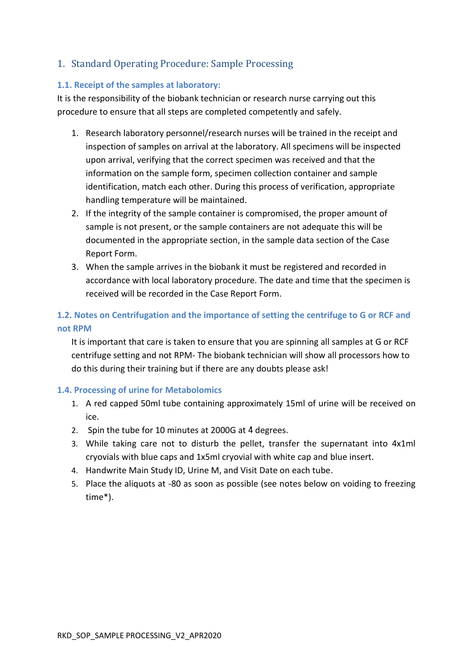## <span id="page-2-0"></span>1. Standard Operating Procedure: Sample Processing

#### <span id="page-2-1"></span>**1.1. Receipt of the samples at laboratory:**

It is the responsibility of the biobank technician or research nurse carrying out this procedure to ensure that all steps are completed competently and safely.

- 1. Research laboratory personnel/research nurses will be trained in the receipt and inspection of samples on arrival at the laboratory. All specimens will be inspected upon arrival, verifying that the correct specimen was received and that the information on the sample form, specimen collection container and sample identification, match each other. During this process of verification, appropriate handling temperature will be maintained.
- 2. If the integrity of the sample container is compromised, the proper amount of sample is not present, or the sample containers are not adequate this will be documented in the appropriate section, in the sample data section of the Case Report Form.
- 3. When the sample arrives in the biobank it must be registered and recorded in accordance with local laboratory procedure. The date and time that the specimen is received will be recorded in the Case Report Form.

## <span id="page-2-2"></span>**1.2. Notes on Centrifugation and the importance of setting the centrifuge to G or RCF and not RPM**

It is important that care is taken to ensure that you are spinning all samples at G or RCF centrifuge setting and not RPM- The biobank technician will show all processors how to do this during their training but if there are any doubts please ask!

#### <span id="page-2-3"></span>**1.4. Processing of urine for Metabolomics**

- 1. A red capped 50ml tube containing approximately 15ml of urine will be received on ice.
- 2. Spin the tube for 10 minutes at 2000G at 4̊degrees.
- 3. While taking care not to disturb the pellet, transfer the supernatant into 4x1ml cryovials with blue caps and 1x5ml cryovial with white cap and blue insert.
- 4. Handwrite Main Study ID, Urine M, and Visit Date on each tube.
- 5. Place the aliquots at -80 as soon as possible (see notes below on voiding to freezing time\*).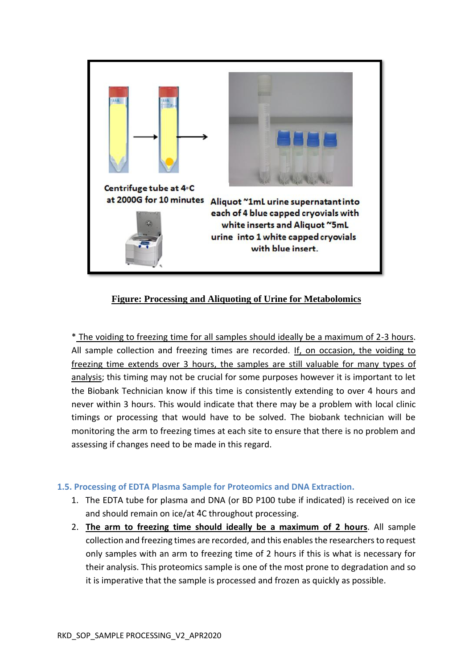

#### **Figure: Processing and Aliquoting of Urine for Metabolomics**

\* The voiding to freezing time for all samples should ideally be a maximum of 2-3 hours. All sample collection and freezing times are recorded. If, on occasion, the voiding to freezing time extends over 3 hours, the samples are still valuable for many types of analysis; this timing may not be crucial for some purposes however it is important to let the Biobank Technician know if this time is consistently extending to over 4 hours and never within 3 hours. This would indicate that there may be a problem with local clinic timings or processing that would have to be solved. The biobank technician will be monitoring the arm to freezing times at each site to ensure that there is no problem and assessing if changes need to be made in this regard.

#### <span id="page-3-0"></span>**1.5. Processing of EDTA Plasma Sample for Proteomics and DNA Extraction.**

- 1. The EDTA tube for plasma and DNA (or BD P100 tube if indicated) is received on ice and should remain on ice/at 4̊C throughout processing.
- 2. **The arm to freezing time should ideally be a maximum of 2 hours**. All sample collection and freezing times are recorded, and this enables the researchers to request only samples with an arm to freezing time of 2 hours if this is what is necessary for their analysis. This proteomics sample is one of the most prone to degradation and so it is imperative that the sample is processed and frozen as quickly as possible.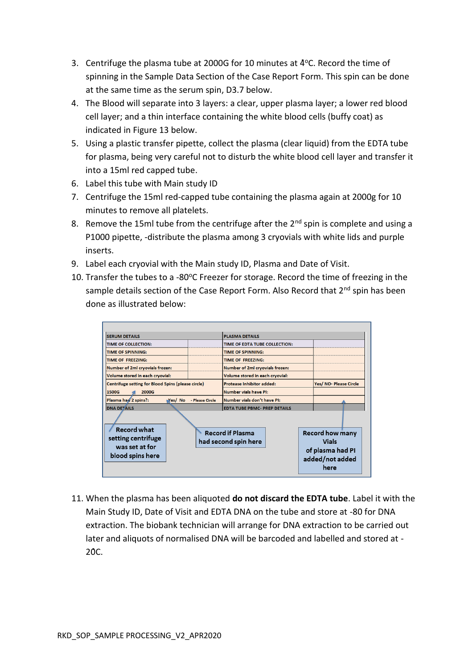- 3. Centrifuge the plasma tube at 2000G for 10 minutes at  $4^{\circ}$ C. Record the time of spinning in the Sample Data Section of the Case Report Form. This spin can be done at the same time as the serum spin, D3.7 below.
- 4. The Blood will separate into 3 layers: a clear, upper plasma layer; a lower red blood cell layer; and a thin interface containing the white blood cells (buffy coat) as indicated in Figure 13 below.
- 5. Using a plastic transfer pipette, collect the plasma (clear liquid) from the EDTA tube for plasma, being very careful not to disturb the white blood cell layer and transfer it into a 15ml red capped tube.
- 6. Label this tube with Main study ID
- 7. Centrifuge the 15ml red-capped tube containing the plasma again at 2000g for 10 minutes to remove all platelets.
- 8. Remove the 15ml tube from the centrifuge after the  $2^{nd}$  spin is complete and using a P1000 pipette, -distribute the plasma among 3 cryovials with white lids and purple inserts.
- 9. Label each cryovial with the Main study ID, Plasma and Date of Visit.
- 10. Transfer the tubes to a -80 $^{\circ}$ C Freezer for storage. Record the time of freezing in the sample details section of the Case Report Form. Also Record that 2<sup>nd</sup> spin has been done as illustrated below:

| <b>SERUM DETAILS</b>                                                           |                                     | <b>PLASMA DETAILS</b>                           |  |                                                                                       |  |
|--------------------------------------------------------------------------------|-------------------------------------|-------------------------------------------------|--|---------------------------------------------------------------------------------------|--|
| <b>TIME OF COLLECTION:</b>                                                     |                                     | TIME OF EDTA TUBE COLLECTION:                   |  |                                                                                       |  |
| <b>TIME OF SPINNING:</b>                                                       |                                     | <b>TIME OF SPINNING:</b>                        |  |                                                                                       |  |
| <b>TIME OF FREEZING:</b>                                                       |                                     | <b>TIME OF FREEZING:</b>                        |  |                                                                                       |  |
| Number of 2ml cryovials frozen:                                                |                                     | Number of 2ml cryovials frozen:                 |  |                                                                                       |  |
| Volume stored in each cryovial:                                                |                                     | Volume stored in each cryovial:                 |  |                                                                                       |  |
| Centrifuge setting for Blood Spins (please circle)                             |                                     | Protease Inhibitor added:                       |  | Yes/ NO- Please Circle                                                                |  |
| 1500G<br><b>2000G</b>                                                          |                                     | <b>Number vials have PI:</b>                    |  |                                                                                       |  |
| Plasma had 2 spins?:<br>Yes/No                                                 | Number vials don't have PI:         |                                                 |  |                                                                                       |  |
| <b>DNA DETAILS</b>                                                             | <b>EDTA TUBE PBMC- PREP DETAILS</b> |                                                 |  |                                                                                       |  |
| <b>Record what</b><br>setting centrifuge<br>was set at for<br>blood spins here |                                     | <b>Record if Plasma</b><br>had second spin here |  | <b>Record how many</b><br><b>Vials</b><br>of plasma had PI<br>added/not added<br>here |  |

11. When the plasma has been aliquoted **do not discard the EDTA tube**. Label it with the Main Study ID, Date of Visit and EDTA DNA on the tube and store at -80 for DNA extraction. The biobank technician will arrange for DNA extraction to be carried out later and aliquots of normalised DNA will be barcoded and labelled and stored at - 20̊C.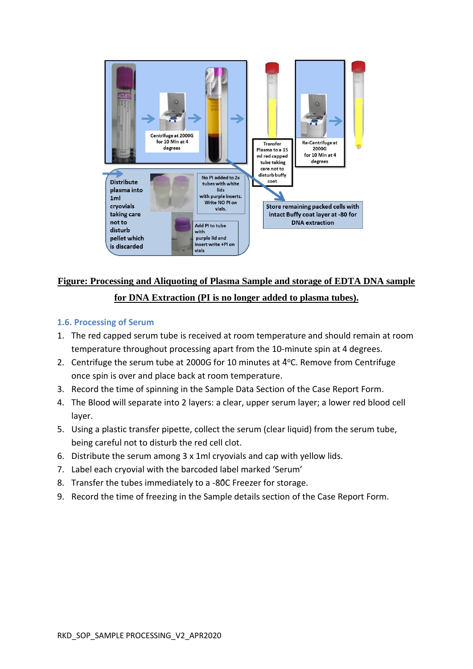

# **Figure: Processing and Aliquoting of Plasma Sample and storage of EDTA DNA sample for DNA Extraction (PI is no longer added to plasma tubes).**

#### <span id="page-5-0"></span>**1.6. Processing of Serum**

- 1. The red capped serum tube is received at room temperature and should remain at room temperature throughout processing apart from the 10-minute spin at 4 degrees.
- 2. Centrifuge the serum tube at 2000G for 10 minutes at  $4^{\circ}$ C. Remove from Centrifuge once spin is over and place back at room temperature.
- 3. Record the time of spinning in the Sample Data Section of the Case Report Form.
- 4. The Blood will separate into 2 layers: a clear, upper serum layer; a lower red blood cell layer.
- 5. Using a plastic transfer pipette, collect the serum (clear liquid) from the serum tube, being careful not to disturb the red cell clot.
- 6. Distribute the serum among 3 x 1ml cryovials and cap with yellow lids.
- 7. Label each cryovial with the barcoded label marked 'Serum'
- 8. Transfer the tubes immediately to a -80̊C Freezer for storage.
- 9. Record the time of freezing in the Sample details section of the Case Report Form.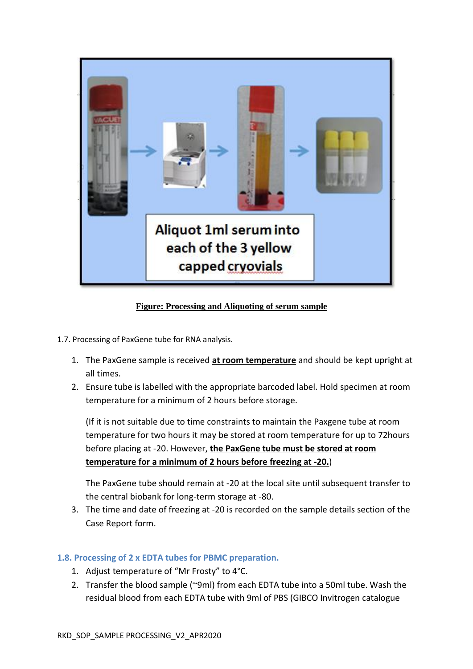

#### **Figure: Processing and Aliquoting of serum sample**

1.7. Processing of PaxGene tube for RNA analysis.

- 1. The PaxGene sample is received **at room temperature** and should be kept upright at all times.
- 2. Ensure tube is labelled with the appropriate barcoded label. Hold specimen at room temperature for a minimum of 2 hours before storage.

(If it is not suitable due to time constraints to maintain the Paxgene tube at room temperature for two hours it may be stored at room temperature for up to 72hours before placing at -20. However, **the PaxGene tube must be stored at room temperature for a minimum of 2 hours before freezing at -20.**)

The PaxGene tube should remain at -20 at the local site until subsequent transfer to the central biobank for long-term storage at -80.

3. The time and date of freezing at -20 is recorded on the sample details section of the Case Report form.

#### <span id="page-6-0"></span>**1.8. Processing of 2 x EDTA tubes for PBMC preparation.**

- 1. Adjust temperature of "Mr Frosty" to 4°C.
- 2. Transfer the blood sample (~9ml) from each EDTA tube into a 50ml tube. Wash the residual blood from each EDTA tube with 9ml of PBS (GIBCO Invitrogen catalogue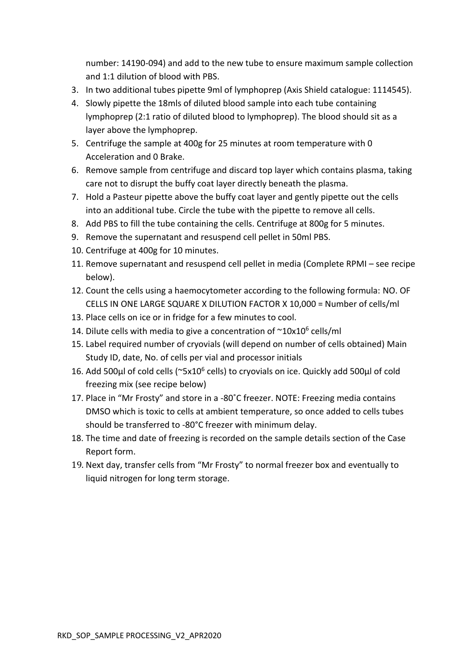number: 14190-094) and add to the new tube to ensure maximum sample collection and 1:1 dilution of blood with PBS.

- 3. In two additional tubes pipette 9ml of lymphoprep (Axis Shield catalogue: 1114545).
- 4. Slowly pipette the 18mls of diluted blood sample into each tube containing lymphoprep (2:1 ratio of diluted blood to lymphoprep). The blood should sit as a layer above the lymphoprep.
- 5. Centrifuge the sample at 400g for 25 minutes at room temperature with 0 Acceleration and 0 Brake.
- 6. Remove sample from centrifuge and discard top layer which contains plasma, taking care not to disrupt the buffy coat layer directly beneath the plasma.
- 7. Hold a Pasteur pipette above the buffy coat layer and gently pipette out the cells into an additional tube. Circle the tube with the pipette to remove all cells.
- 8. Add PBS to fill the tube containing the cells. Centrifuge at 800g for 5 minutes.
- 9. Remove the supernatant and resuspend cell pellet in 50ml PBS.
- 10. Centrifuge at 400g for 10 minutes.
- 11. Remove supernatant and resuspend cell pellet in media (Complete RPMI see recipe below).
- 12. Count the cells using a haemocytometer according to the following formula: NO. OF CELLS IN ONE LARGE SQUARE X DILUTION FACTOR X 10,000 = Number of cells/ml
- 13. Place cells on ice or in fridge for a few minutes to cool.
- 14. Dilute cells with media to give a concentration of  $\simeq$  10x10<sup>6</sup> cells/ml
- 15. Label required number of cryovials (will depend on number of cells obtained) Main Study ID, date, No. of cells per vial and processor initials
- 16. Add 500μl of cold cells (~5x10<sup>6</sup> cells) to cryovials on ice. Quickly add 500μl of cold freezing mix (see recipe below)
- 17. Place in "Mr Frosty" and store in a -80˚C freezer. NOTE: Freezing media contains DMSO which is toxic to cells at ambient temperature, so once added to cells tubes should be transferred to -80°C freezer with minimum delay.
- 18. The time and date of freezing is recorded on the sample details section of the Case Report form.
- 19. Next day, transfer cells from "Mr Frosty" to normal freezer box and eventually to liquid nitrogen for long term storage.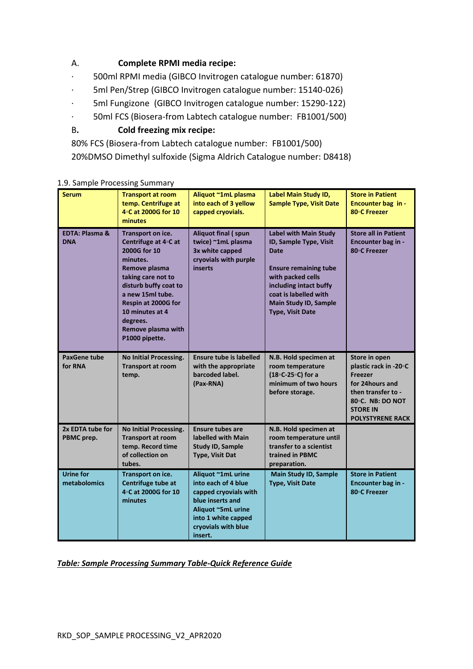#### A. **Complete RPMI media recipe:**

- · 500ml RPMI media (GIBCO Invitrogen catalogue number: 61870)
- · 5ml Pen/Strep (GIBCO Invitrogen catalogue number: 15140-026)
- · 5ml Fungizone (GIBCO Invitrogen catalogue number: 15290-122)
- · 50ml FCS (Biosera-from Labtech catalogue number: FB1001/500)

#### B**. Cold freezing mix recipe:**

80% FCS (Biosera-from Labtech catalogue number: FB1001/500) 20%DMSO Dimethyl sulfoxide (Sigma Aldrich Catalogue number: D8418)

#### 1.9. Sample Processing Summary

| <b>Serum</b>                            | <b>Transport at room</b><br>temp. Centrifuge at<br>4 °C at 2000G for 10<br>minutes                                                                                                                                                                      | Aliquot ~1mL plasma<br>into each of 3 yellow<br>capped cryovials.                                                                                                     | Label Main Study ID,<br><b>Sample Type, Visit Date</b>                                                                                                                                                                                   | <b>Store in Patient</b><br>Encounter bag in -<br>80 <sup>°</sup> C Freezer                                                                                   |
|-----------------------------------------|---------------------------------------------------------------------------------------------------------------------------------------------------------------------------------------------------------------------------------------------------------|-----------------------------------------------------------------------------------------------------------------------------------------------------------------------|------------------------------------------------------------------------------------------------------------------------------------------------------------------------------------------------------------------------------------------|--------------------------------------------------------------------------------------------------------------------------------------------------------------|
| <b>EDTA: Plasma &amp;</b><br><b>DNA</b> | Transport on ice.<br>Centrifuge at 4°C at<br>2000G for 10<br>minutes.<br>Remove plasma<br>taking care not to<br>disturb buffy coat to<br>a new 15ml tube.<br>Respin at 2000G for<br>10 minutes at 4<br>degrees.<br>Remove plasma with<br>P1000 pipette. | Aliquot final (spun<br>twice) ~1mL plasma<br>3x white capped<br>cryovials with purple<br><b>inserts</b>                                                               | <b>Label with Main Study</b><br>ID, Sample Type, Visit<br><b>Date</b><br><b>Ensure remaining tube</b><br>with packed cells<br>including intact buffy<br>coat is labelled with<br><b>Main Study ID, Sample</b><br><b>Type, Visit Date</b> | <b>Store all in Patient</b><br>Encounter bag in -<br>80°C Freezer                                                                                            |
| <b>PaxGene tube</b><br>for RNA          | <b>No Initial Processing.</b><br><b>Transport at room</b><br>temp.                                                                                                                                                                                      | <b>Ensure tube is labelled</b><br>with the appropriate<br>barcoded label.<br>(Pax-RNA)                                                                                | N.B. Hold specimen at<br>room temperature<br>(18 °C-25 °C) for a<br>minimum of two hours<br>before storage.                                                                                                                              | Store in open<br>plastic rack in -20°C<br>Freezer<br>for 24hours and<br>then transfer to -<br>80°C. NB: DO NOT<br><b>STORE IN</b><br><b>POLYSTYRENE RACK</b> |
| 2x EDTA tube for<br>PBMC prep.          | <b>No Initial Processing.</b><br><b>Transport at room</b><br>temp. Record time<br>of collection on<br>tubes.                                                                                                                                            | <b>Ensure tubes are</b><br>labelled with Main<br><b>Study ID, Sample</b><br>Type, Visit Dat                                                                           | N.B. Hold specimen at<br>room temperature until<br>transfer to a scientist<br>trained in PBMC<br>preparation.                                                                                                                            |                                                                                                                                                              |
| <b>Urine for</b><br>metabolomics        | Transport on ice.<br>Centrifuge tube at<br>4°C at 2000G for 10<br>minutes                                                                                                                                                                               | Aliquot ~1mL urine<br>into each of 4 blue<br>capped cryovials with<br>blue inserts and<br>Aliquot ~5mL urine<br>into 1 white capped<br>cryovials with blue<br>insert. | <b>Main Study ID, Sample</b><br><b>Type, Visit Date</b>                                                                                                                                                                                  | <b>Store in Patient</b><br>Encounter bag in -<br>80°C Freezer                                                                                                |

*Table: Sample Processing Summary Table-Quick Reference Guide*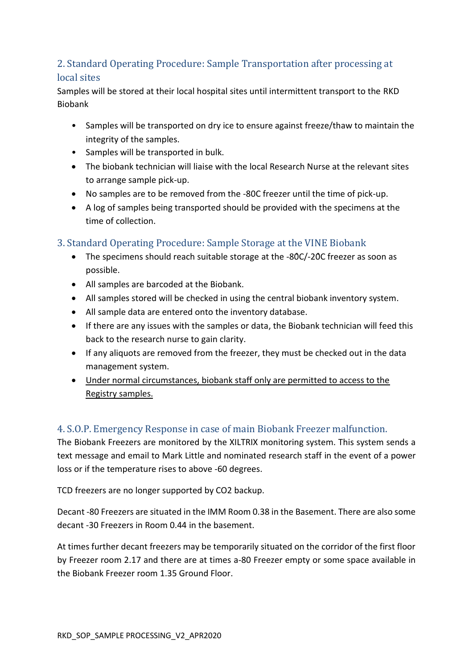# <span id="page-9-0"></span>2. Standard Operating Procedure: Sample Transportation after processing at local sites

Samples will be stored at their local hospital sites until intermittent transport to the RKD Biobank

- Samples will be transported on dry ice to ensure against freeze/thaw to maintain the integrity of the samples.
- Samples will be transported in bulk.
- The biobank technician will liaise with the local Research Nurse at the relevant sites to arrange sample pick-up.
- No samples are to be removed from the -80C freezer until the time of pick-up.
- A log of samples being transported should be provided with the specimens at the time of collection.

## <span id="page-9-1"></span>3. Standard Operating Procedure: Sample Storage at the VINE Biobank

- The specimens should reach suitable storage at the -80̊C/-20̊C freezer as soon as possible.
- All samples are barcoded at the Biobank.
- All samples stored will be checked in using the central biobank inventory system.
- All sample data are entered onto the inventory database.
- If there are any issues with the samples or data, the Biobank technician will feed this back to the research nurse to gain clarity.
- If any aliquots are removed from the freezer, they must be checked out in the data management system.
- Under normal circumstances, biobank staff only are permitted to access to the Registry samples.

## <span id="page-9-2"></span>4. S.O.P. Emergency Response in case of main Biobank Freezer malfunction.

The Biobank Freezers are monitored by the XILTRIX monitoring system. This system sends a text message and email to Mark Little and nominated research staff in the event of a power loss or if the temperature rises to above -60 degrees.

TCD freezers are no longer supported by CO2 backup.

Decant -80 Freezers are situated in the IMM Room 0.38 in the Basement. There are also some decant -30 Freezers in Room 0.44 in the basement.

At times further decant freezers may be temporarily situated on the corridor of the first floor by Freezer room 2.17 and there are at times a-80 Freezer empty or some space available in the Biobank Freezer room 1.35 Ground Floor.